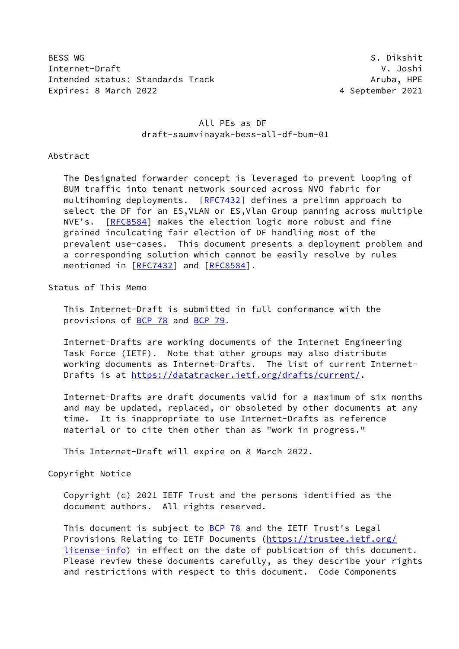BESS WG S. Dikshit Internet-Draft V. Joshi Intended status: Standards Track Aruba, HPE Expires: 8 March 2022 **1999 12:3 Australian Strutter** 2021 4 September 2021

## All PEs as DF draft-saumvinayak-bess-all-df-bum-01

### Abstract

 The Designated forwarder concept is leveraged to prevent looping of BUM traffic into tenant network sourced across NVO fabric for multihoming deployments. [[RFC7432](https://datatracker.ietf.org/doc/pdf/rfc7432)] defines a prelimn approach to select the DF for an ES,VLAN or ES,Vlan Group panning across multiple NVE's. [\[RFC8584](https://datatracker.ietf.org/doc/pdf/rfc8584)] makes the election logic more robust and fine grained inculcating fair election of DF handling most of the prevalent use-cases. This document presents a deployment problem and a corresponding solution which cannot be easily resolve by rules mentioned in [\[RFC7432](https://datatracker.ietf.org/doc/pdf/rfc7432)] and [[RFC8584\]](https://datatracker.ietf.org/doc/pdf/rfc8584).

# Status of This Memo

 This Internet-Draft is submitted in full conformance with the provisions of [BCP 78](https://datatracker.ietf.org/doc/pdf/bcp78) and [BCP 79](https://datatracker.ietf.org/doc/pdf/bcp79).

 Internet-Drafts are working documents of the Internet Engineering Task Force (IETF). Note that other groups may also distribute working documents as Internet-Drafts. The list of current Internet- Drafts is at<https://datatracker.ietf.org/drafts/current/>.

 Internet-Drafts are draft documents valid for a maximum of six months and may be updated, replaced, or obsoleted by other documents at any time. It is inappropriate to use Internet-Drafts as reference material or to cite them other than as "work in progress."

This Internet-Draft will expire on 8 March 2022.

#### Copyright Notice

 Copyright (c) 2021 IETF Trust and the persons identified as the document authors. All rights reserved.

This document is subject to **[BCP 78](https://datatracker.ietf.org/doc/pdf/bcp78)** and the IETF Trust's Legal Provisions Relating to IETF Documents ([https://trustee.ietf.org/](https://trustee.ietf.org/license-info) [license-info](https://trustee.ietf.org/license-info)) in effect on the date of publication of this document. Please review these documents carefully, as they describe your rights and restrictions with respect to this document. Code Components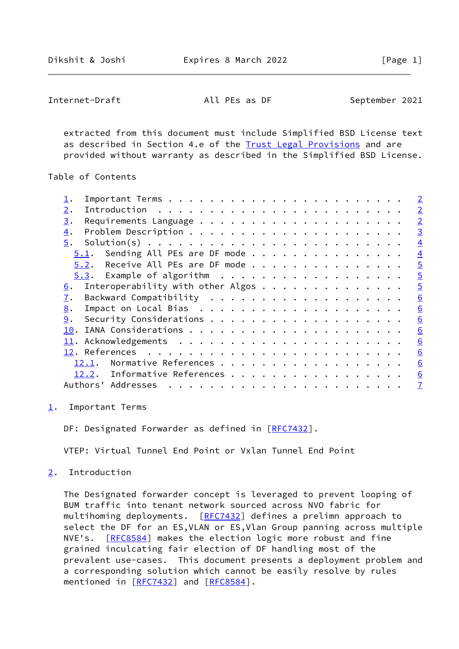```
Internet-Draft All PEs as DF September 2021
```
 extracted from this document must include Simplified BSD License text as described in Section 4.e of the [Trust Legal Provisions](https://trustee.ietf.org/license-info) and are provided without warranty as described in the Simplified BSD License.

Table of Contents

|                                         | $\overline{\phantom{0}}^2$ |
|-----------------------------------------|----------------------------|
| 2.                                      | $\overline{2}$             |
| 3.                                      | $\overline{2}$             |
| $\overline{4}$ .                        | $\overline{3}$             |
| 5.                                      | $\overline{4}$             |
| Sending All PEs are DF mode<br>5.1.     | $\overline{4}$             |
| Receive All PEs are DF mode<br>5.2.     | $\overline{5}$             |
|                                         | $\overline{5}$             |
| Interoperability with other Algos<br>6. | $\overline{5}$             |
| 7.                                      | 6                          |
| 8.                                      | 6                          |
| 9.                                      | 6                          |
|                                         | 6                          |
|                                         | 6                          |
|                                         | 6                          |
| Normative References<br>12.1.           | 6                          |
| 12.2. Informative References            | 6                          |
| Authors' Addresses                      | $\overline{1}$             |
|                                         |                            |

<span id="page-1-0"></span>[1](#page-1-0). Important Terms

DF: Designated Forwarder as defined in [\[RFC7432](https://datatracker.ietf.org/doc/pdf/rfc7432)].

VTEP: Virtual Tunnel End Point or Vxlan Tunnel End Point

<span id="page-1-2"></span>[2](#page-1-2). Introduction

 The Designated forwarder concept is leveraged to prevent looping of BUM traffic into tenant network sourced across NVO fabric for multihoming deployments. [[RFC7432](https://datatracker.ietf.org/doc/pdf/rfc7432)] defines a prelimn approach to select the DF for an ES, VLAN or ES, Vlan Group panning across multiple NVE's. [\[RFC8584](https://datatracker.ietf.org/doc/pdf/rfc8584)] makes the election logic more robust and fine grained inculcating fair election of DF handling most of the prevalent use-cases. This document presents a deployment problem and a corresponding solution which cannot be easily resolve by rules mentioned in [\[RFC7432](https://datatracker.ietf.org/doc/pdf/rfc7432)] and [[RFC8584\]](https://datatracker.ietf.org/doc/pdf/rfc8584).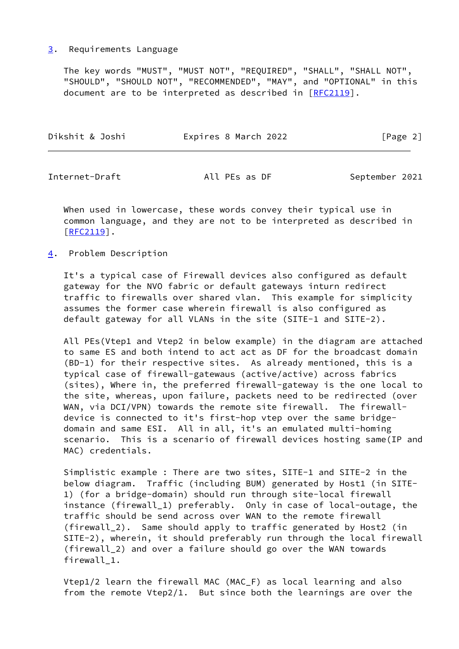### <span id="page-2-0"></span>[3](#page-2-0). Requirements Language

 The key words "MUST", "MUST NOT", "REQUIRED", "SHALL", "SHALL NOT", "SHOULD", "SHOULD NOT", "RECOMMENDED", "MAY", and "OPTIONAL" in this document are to be interpreted as described in [\[RFC2119](https://datatracker.ietf.org/doc/pdf/rfc2119)].

| Dikshit & Joshi | Expires 8 March 2022 | [Page 2] |
|-----------------|----------------------|----------|
|                 |                      |          |

<span id="page-2-2"></span>Internet-Draft All PEs as DF September 2021

 When used in lowercase, these words convey their typical use in common language, and they are not to be interpreted as described in [\[RFC2119](https://datatracker.ietf.org/doc/pdf/rfc2119)].

<span id="page-2-1"></span>[4](#page-2-1). Problem Description

 It's a typical case of Firewall devices also configured as default gateway for the NVO fabric or default gateways inturn redirect traffic to firewalls over shared vlan. This example for simplicity assumes the former case wherein firewall is also configured as default gateway for all VLANs in the site (SITE-1 and SITE-2).

 All PEs(Vtep1 and Vtep2 in below example) in the diagram are attached to same ES and both intend to act act as DF for the broadcast domain (BD-1) for their respective sites. As already mentioned, this is a typical case of firewall-gatewaus (active/active) across fabrics (sites), Where in, the preferred firewall-gateway is the one local to the site, whereas, upon failure, packets need to be redirected (over WAN, via DCI/VPN) towards the remote site firewall. The firewall device is connected to it's first-hop vtep over the same bridge domain and same ESI. All in all, it's an emulated multi-homing scenario. This is a scenario of firewall devices hosting same(IP and MAC) credentials.

 Simplistic example : There are two sites, SITE-1 and SITE-2 in the below diagram. Traffic (including BUM) generated by Host1 (in SITE- 1) (for a bridge-domain) should run through site-local firewall instance (firewall\_1) preferably. Only in case of local-outage, the traffic should be send across over WAN to the remote firewall (firewall\_2). Same should apply to traffic generated by Host2 (in SITE-2), wherein, it should preferably run through the local firewall (firewall\_2) and over a failure should go over the WAN towards firewall\_1.

 Vtep1/2 learn the firewall MAC (MAC\_F) as local learning and also from the remote Vtep2/1. But since both the learnings are over the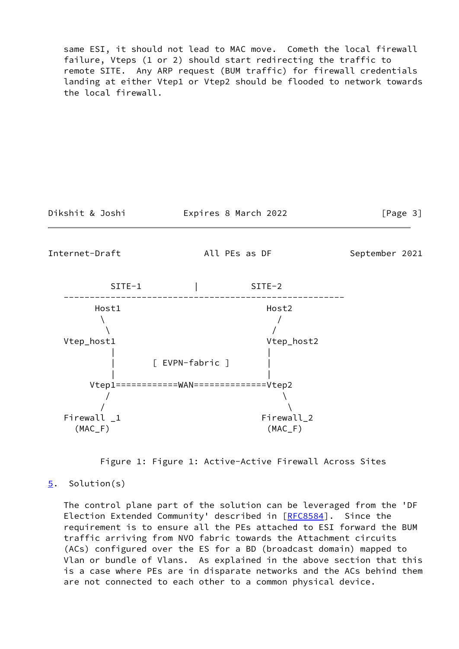same ESI, it should not lead to MAC move. Cometh the local firewall failure, Vteps (1 or 2) should start redirecting the traffic to remote SITE. Any ARP request (BUM traffic) for firewall credentials landing at either Vtep1 or Vtep2 should be flooded to network towards the local firewall.

Dikshit & Joshi Expires 8 March 2022 [Page 3]

<span id="page-3-1"></span>Internet-Draft All PEs as DF September 2021



Figure 1: Figure 1: Active-Active Firewall Across Sites

<span id="page-3-0"></span>[5](#page-3-0). Solution(s)

 The control plane part of the solution can be leveraged from the 'DF Election Extended Community' described in [[RFC8584](https://datatracker.ietf.org/doc/pdf/rfc8584)]. Since the requirement is to ensure all the PEs attached to ESI forward the BUM traffic arriving from NVO fabric towards the Attachment circuits (ACs) configured over the ES for a BD (broadcast domain) mapped to Vlan or bundle of Vlans. As explained in the above section that this is a case where PEs are in disparate networks and the ACs behind them are not connected to each other to a common physical device.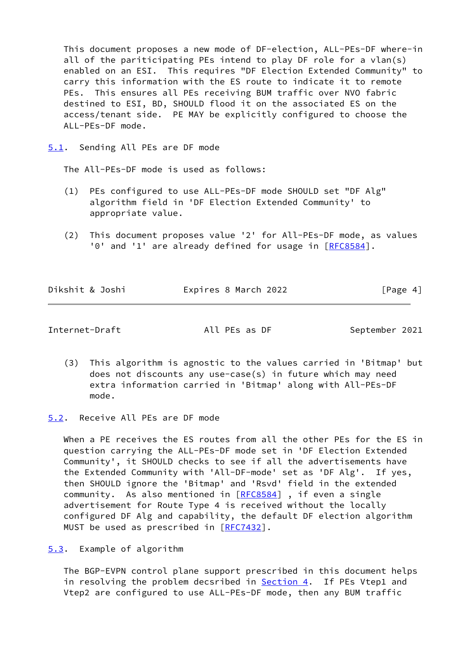This document proposes a new mode of DF-election, ALL-PEs-DF where-in all of the pariticipating PEs intend to play DF role for a vlan(s) enabled on an ESI. This requires "DF Election Extended Community" to carry this information with the ES route to indicate it to remote PEs. This ensures all PEs receiving BUM traffic over NVO fabric destined to ESI, BD, SHOULD flood it on the associated ES on the access/tenant side. PE MAY be explicitly configured to choose the ALL-PEs-DF mode.

<span id="page-4-0"></span>[5.1](#page-4-0). Sending All PEs are DF mode

The All-PEs-DF mode is used as follows:

- (1) PEs configured to use ALL-PEs-DF mode SHOULD set "DF Alg" algorithm field in 'DF Election Extended Community' to appropriate value.
- (2) This document proposes value '2' for All-PEs-DF mode, as values '0' and '1' are already defined for usage in [[RFC8584](https://datatracker.ietf.org/doc/pdf/rfc8584)].

| Dikshit & Joshi | Expires 8 March 2022 | [Page 4] |
|-----------------|----------------------|----------|
|                 |                      |          |

<span id="page-4-2"></span>Internet-Draft **All PES as DF** September 2021

 (3) This algorithm is agnostic to the values carried in 'Bitmap' but does not discounts any use-case(s) in future which may need extra information carried in 'Bitmap' along with All-PEs-DF mode.

<span id="page-4-1"></span>[5.2](#page-4-1). Receive All PEs are DF mode

 When a PE receives the ES routes from all the other PEs for the ES in question carrying the ALL-PEs-DF mode set in 'DF Election Extended Community', it SHOULD checks to see if all the advertisements have the Extended Community with 'All-DF-mode' set as 'DF Alg'. If yes, then SHOULD ignore the 'Bitmap' and 'Rsvd' field in the extended community. As also mentioned in [\[RFC8584](https://datatracker.ietf.org/doc/pdf/rfc8584)], if even a single advertisement for Route Type 4 is received without the locally configured DF Alg and capability, the default DF election algorithm MUST be used as prescribed in [[RFC7432](https://datatracker.ietf.org/doc/pdf/rfc7432)].

<span id="page-4-3"></span>[5.3](#page-4-3). Example of algorithm

 The BGP-EVPN control plane support prescribed in this document helps in resolving the problem decsribed in [Section 4.](#page-2-1) If PEs Vtep1 and Vtep2 are configured to use ALL-PEs-DF mode, then any BUM traffic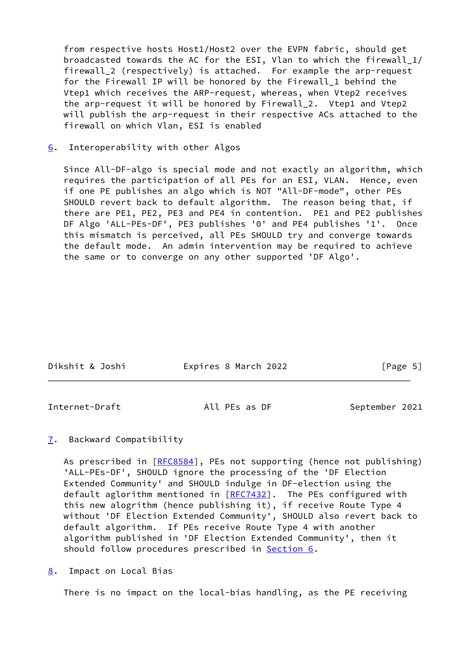from respective hosts Host1/Host2 over the EVPN fabric, should get broadcasted towards the AC for the ESI, Vlan to which the firewall\_1/ firewall 2 (respectively) is attached. For example the arp-request for the Firewall IP will be honored by the Firewall\_1 behind the Vtep1 which receives the ARP-request, whereas, when Vtep2 receives the arp-request it will be honored by Firewall\_2. Vtep1 and Vtep2 will publish the arp-request in their respective ACs attached to the firewall on which Vlan, ESI is enabled

### <span id="page-5-0"></span>[6](#page-5-0). Interoperability with other Algos

 Since All-DF-algo is special mode and not exactly an algorithm, which requires the participation of all PEs for an ESI, VLAN. Hence, even if one PE publishes an algo which is NOT "All-DF-mode", other PEs SHOULD revert back to default algorithm. The reason being that, if there are PE1, PE2, PE3 and PE4 in contention. PE1 and PE2 publishes DF Algo 'ALL-PEs-DF', PE3 publishes '0' and PE4 publishes '1'. Once this mismatch is perceived, all PEs SHOULD try and converge towards the default mode. An admin intervention may be required to achieve the same or to converge on any other supported 'DF Algo'.

| Dikshit & Joshi | Expires 8 March 2022 | [Page 5] |
|-----------------|----------------------|----------|
|                 |                      |          |

<span id="page-5-2"></span>Internet-Draft All PEs as DF September 2021

## <span id="page-5-1"></span>[7](#page-5-1). Backward Compatibility

As prescribed in [\[RFC8584](https://datatracker.ietf.org/doc/pdf/rfc8584)], PEs not supporting (hence not publishing) 'ALL-PEs-DF', SHOULD ignore the processing of the 'DF Election Extended Community' and SHOULD indulge in DF-election using the default aglorithm mentioned in  $[RFC7432]$  $[RFC7432]$ . The PEs configured with this new alogrithm (hence publishing it), if receive Route Type 4 without 'DF Election Extended Community', SHOULD also revert back to default algorithm. If PEs receive Route Type 4 with another algorithm published in 'DF Election Extended Community', then it should follow procedures prescribed in [Section 6.](#page-5-0)

<span id="page-5-3"></span>[8](#page-5-3). Impact on Local Bias

There is no impact on the local-bias handling, as the PE receiving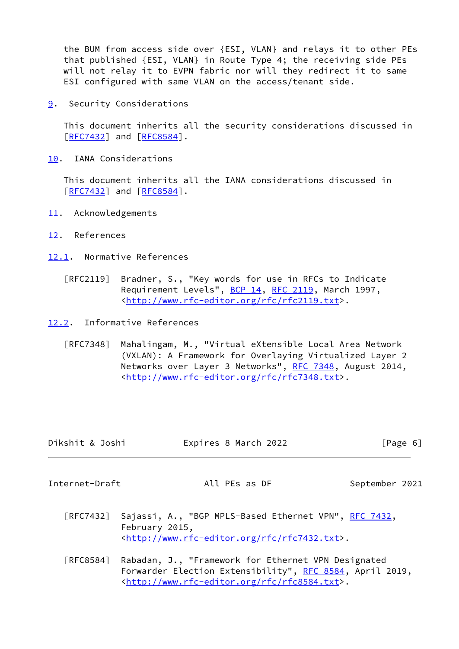the BUM from access side over {ESI, VLAN} and relays it to other PEs that published {ESI, VLAN} in Route Type 4; the receiving side PEs will not relay it to EVPN fabric nor will they redirect it to same ESI configured with same VLAN on the access/tenant side.

<span id="page-6-0"></span>[9](#page-6-0). Security Considerations

 This document inherits all the security considerations discussed in [\[RFC7432](https://datatracker.ietf.org/doc/pdf/rfc7432)] and [[RFC8584](https://datatracker.ietf.org/doc/pdf/rfc8584)].

<span id="page-6-1"></span>[10.](#page-6-1) IANA Considerations

 This document inherits all the IANA considerations discussed in [\[RFC7432](https://datatracker.ietf.org/doc/pdf/rfc7432)] and [[RFC8584](https://datatracker.ietf.org/doc/pdf/rfc8584)].

- <span id="page-6-2"></span>[11.](#page-6-2) Acknowledgements
- <span id="page-6-3"></span>[12.](#page-6-3) References
- <span id="page-6-4"></span>[12.1](#page-6-4). Normative References
	- [RFC2119] Bradner, S., "Key words for use in RFCs to Indicate Requirement Levels", [BCP 14](https://datatracker.ietf.org/doc/pdf/bcp14), [RFC 2119](https://datatracker.ietf.org/doc/pdf/rfc2119), March 1997, <[http://www.rfc-editor.org/rfc/rfc2119.txt>](http://www.rfc-editor.org/rfc/rfc2119.txt).

<span id="page-6-5"></span>[12.2](#page-6-5). Informative References

 [RFC7348] Mahalingam, M., "Virtual eXtensible Local Area Network (VXLAN): A Framework for Overlaying Virtualized Layer 2 Networks over Layer 3 Networks", [RFC 7348,](https://datatracker.ietf.org/doc/pdf/rfc7348) August 2014, <[http://www.rfc-editor.org/rfc/rfc7348.txt>](http://www.rfc-editor.org/rfc/rfc7348.txt).

| Dikshit & Joshi | Expires 8 March 2022 | $\lceil \text{Page } 6 \rceil$ |
|-----------------|----------------------|--------------------------------|
|                 |                      |                                |
| Internet-Draft  | All PEs as DF        | September 2021                 |

<span id="page-6-6"></span>

[RFC7432] Sajassi, A., "BGP MPLS-Based Ethernet VPN", [RFC 7432,](https://datatracker.ietf.org/doc/pdf/rfc7432) February 2015, <[http://www.rfc-editor.org/rfc/rfc7432.txt>](http://www.rfc-editor.org/rfc/rfc7432.txt).

 [RFC8584] Rabadan, J., "Framework for Ethernet VPN Designated Forwarder Election Extensibility", [RFC 8584](https://datatracker.ietf.org/doc/pdf/rfc8584), April 2019, <[http://www.rfc-editor.org/rfc/rfc8584.txt>](http://www.rfc-editor.org/rfc/rfc8584.txt).